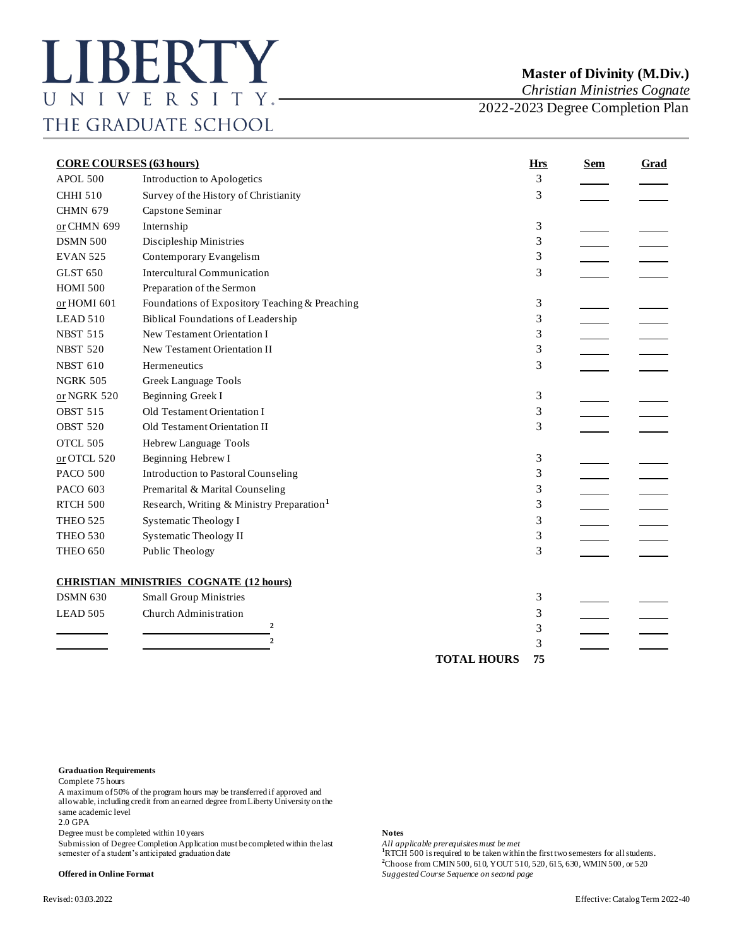# **Master of Divinity (M.Div.)**

*Christian Ministries Cognate*

2022-2023 Degree Completion Plan

| <b>CORE COURSES (63 hours)</b> |                                                       | <b>Hrs</b>         | <b>Sem</b> | <b>Grad</b> |  |
|--------------------------------|-------------------------------------------------------|--------------------|------------|-------------|--|
| APOL.500                       | Introduction to Apologetics                           |                    | 3          |             |  |
| <b>CHHI 510</b>                | Survey of the History of Christianity                 |                    | 3          |             |  |
| <b>CHMN 679</b>                | Capstone Seminar                                      |                    |            |             |  |
| or CHMN 699                    | Internship                                            |                    | 3          |             |  |
| <b>DSMN 500</b>                | Discipleship Ministries                               |                    | 3          |             |  |
| <b>EVAN 525</b>                | Contemporary Evangelism                               |                    | 3          |             |  |
| <b>GLST 650</b>                | <b>Intercultural Communication</b>                    |                    | 3          |             |  |
| <b>HOMI 500</b>                | Preparation of the Sermon                             |                    |            |             |  |
| or HOMI 601                    | Foundations of Expository Teaching & Preaching        |                    | 3          |             |  |
| LEAD 510                       | <b>Biblical Foundations of Leadership</b>             |                    | 3          |             |  |
| <b>NBST 515</b>                | New Testament Orientation I                           |                    | 3          |             |  |
| <b>NBST 520</b>                | New Testament Orientation II                          |                    | 3          |             |  |
| <b>NBST 610</b>                | Hermeneutics                                          |                    | 3          |             |  |
| <b>NGRK 505</b>                | Greek Language Tools                                  |                    |            |             |  |
| or NGRK 520                    | Beginning Greek I                                     |                    | 3          |             |  |
| <b>OBST 515</b>                | Old Testament Orientation I                           |                    | 3          |             |  |
| <b>OBST 520</b>                | Old Testament Orientation II                          |                    | 3          |             |  |
| OTCL 505                       | Hebrew Language Tools                                 |                    |            |             |  |
| $or$ OTCL 520                  | Beginning Hebrew I                                    |                    | 3          |             |  |
| <b>PACO 500</b>                | <b>Introduction to Pastoral Counseling</b>            |                    | 3          |             |  |
| PACO 603                       | Premarital & Marital Counseling                       |                    | 3          |             |  |
| <b>RTCH 500</b>                | Research, Writing & Ministry Preparation <sup>1</sup> |                    | 3          |             |  |
| <b>THEO 525</b>                | <b>Systematic Theology I</b>                          |                    | 3          |             |  |
| <b>THEO 530</b>                | <b>Systematic Theology II</b>                         |                    | 3          |             |  |
| <b>THEO 650</b>                | Public Theology                                       |                    | 3          |             |  |
|                                | <b>CHRISTIAN MINISTRIES COGNATE (12 hours)</b>        |                    |            |             |  |
| <b>DSMN 630</b>                | <b>Small Group Ministries</b>                         |                    | 3          |             |  |
| LEAD 505                       | Church Administration                                 |                    | 3          |             |  |
|                                | $\mathbf{2}$                                          |                    | 3          |             |  |
|                                | $\overline{2}$                                        |                    | 3          |             |  |
|                                |                                                       | <b>TOTAL HOURS</b> | 75         |             |  |

### **Graduation Requirements**

Complete 75 hours

A maximum of 50% of the program hours may be transferred if approved and allowable, including credit from an earned degree from Liberty University on the same academic level 2.0 GPA

Degree must be completed within 10 years<br>
Submission of Degree Completion Application must be completed within the last *All applicable prerequisites must be met* Submission of Degree Completion Application must be completed within the last **All application** semester of a student's anticipated graduation date **1**RTCH 500 is required to be taken within the first two semesters for all students.

**<sup>2</sup>**Choose from CMIN 500, 610, YOUT 510, 520, 615, 630, WMIN 500, or 520

**Offered in Online Format** *Suggested Course Sequence on second page*